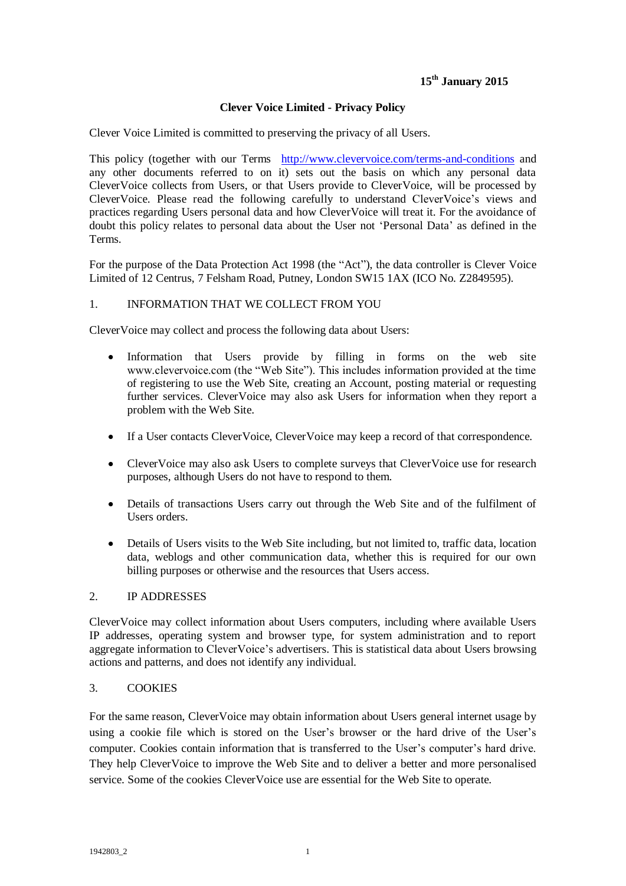# **15th January 2015**

#### **Clever Voice Limited - Privacy Policy**

Clever Voice Limited is committed to preserving the privacy of all Users.

This policy (together with our Terms <http://www.clevervoice.com/terms-and-conditions> and any other documents referred to on it) sets out the basis on which any personal data CleverVoice collects from Users, or that Users provide to CleverVoice, will be processed by CleverVoice. Please read the following carefully to understand CleverVoice's views and practices regarding Users personal data and how CleverVoice will treat it. For the avoidance of doubt this policy relates to personal data about the User not "Personal Data" as defined in the Terms.

For the purpose of the Data Protection Act 1998 (the "Act"), the data controller is Clever Voice Limited of 12 Centrus, 7 Felsham Road, Putney, London SW15 1AX (ICO No. Z2849595).

#### 1. INFORMATION THAT WE COLLECT FROM YOU

CleverVoice may collect and process the following data about Users:

- $\bullet$ Information that Users provide by filling in forms on the web site www.clevervoice.com (the "Web Site"). This includes information provided at the time of registering to use the Web Site, creating an Account, posting material or requesting further services. CleverVoice may also ask Users for information when they report a problem with the Web Site.
- If a User contacts CleverVoice, CleverVoice may keep a record of that correspondence.
- CleverVoice may also ask Users to complete surveys that CleverVoice use for research purposes, although Users do not have to respond to them.
- Details of transactions Users carry out through the Web Site and of the fulfilment of Users orders.
- Details of Users visits to the Web Site including, but not limited to, traffic data, location data, weblogs and other communication data, whether this is required for our own billing purposes or otherwise and the resources that Users access.

#### 2. IP ADDRESSES

CleverVoice may collect information about Users computers, including where available Users IP addresses, operating system and browser type, for system administration and to report aggregate information to CleverVoice"s advertisers. This is statistical data about Users browsing actions and patterns, and does not identify any individual.

#### 3. COOKIES

For the same reason, CleverVoice may obtain information about Users general internet usage by using a cookie file which is stored on the User"s browser or the hard drive of the User"s computer. Cookies contain information that is transferred to the User"s computer"s hard drive. They help CleverVoice to improve the Web Site and to deliver a better and more personalised service. Some of the cookies CleverVoice use are essential for the Web Site to operate.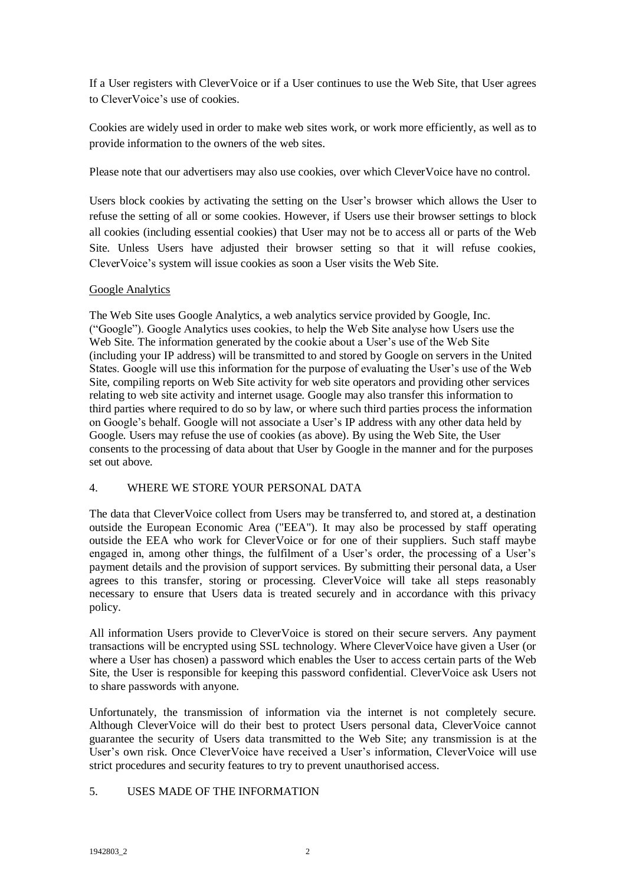If a User registers with CleverVoice or if a User continues to use the Web Site, that User agrees to CleverVoice"s use of cookies.

Cookies are widely used in order to make web sites work, or work more efficiently, as well as to provide information to the owners of the web sites.

Please note that our advertisers may also use cookies, over which CleverVoice have no control.

Users block cookies by activating the setting on the User"s browser which allows the User to refuse the setting of all or some cookies. However, if Users use their browser settings to block all cookies (including essential cookies) that User may not be to access all or parts of the Web Site. Unless Users have adjusted their browser setting so that it will refuse cookies, CleverVoice"s system will issue cookies as soon a User visits the Web Site.

#### Google Analytics

The Web Site uses Google Analytics, a web analytics service provided by Google, Inc. ("Google"). Google Analytics uses cookies, to help the Web Site analyse how Users use the Web Site. The information generated by the cookie about a User's use of the Web Site (including your IP address) will be transmitted to and stored by Google on servers in the United States. Google will use this information for the purpose of evaluating the User's use of the Web Site, compiling reports on Web Site activity for web site operators and providing other services relating to web site activity and internet usage. Google may also transfer this information to third parties where required to do so by law, or where such third parties process the information on Google"s behalf. Google will not associate a User"s IP address with any other data held by Google. Users may refuse the use of cookies (as above). By using the Web Site, the User consents to the processing of data about that User by Google in the manner and for the purposes set out above.

#### 4. WHERE WE STORE YOUR PERSONAL DATA

The data that CleverVoice collect from Users may be transferred to, and stored at, a destination outside the European Economic Area ("EEA"). It may also be processed by staff operating outside the EEA who work for CleverVoice or for one of their suppliers. Such staff maybe engaged in, among other things, the fulfilment of a User's order, the processing of a User's payment details and the provision of support services. By submitting their personal data, a User agrees to this transfer, storing or processing. CleverVoice will take all steps reasonably necessary to ensure that Users data is treated securely and in accordance with this privacy policy.

All information Users provide to CleverVoice is stored on their secure servers. Any payment transactions will be encrypted using SSL technology. Where CleverVoice have given a User (or where a User has chosen) a password which enables the User to access certain parts of the Web Site, the User is responsible for keeping this password confidential. CleverVoice ask Users not to share passwords with anyone.

Unfortunately, the transmission of information via the internet is not completely secure. Although CleverVoice will do their best to protect Users personal data, CleverVoice cannot guarantee the security of Users data transmitted to the Web Site; any transmission is at the User's own risk. Once CleverVoice have received a User's information, CleverVoice will use strict procedures and security features to try to prevent unauthorised access.

## 5. USES MADE OF THE INFORMATION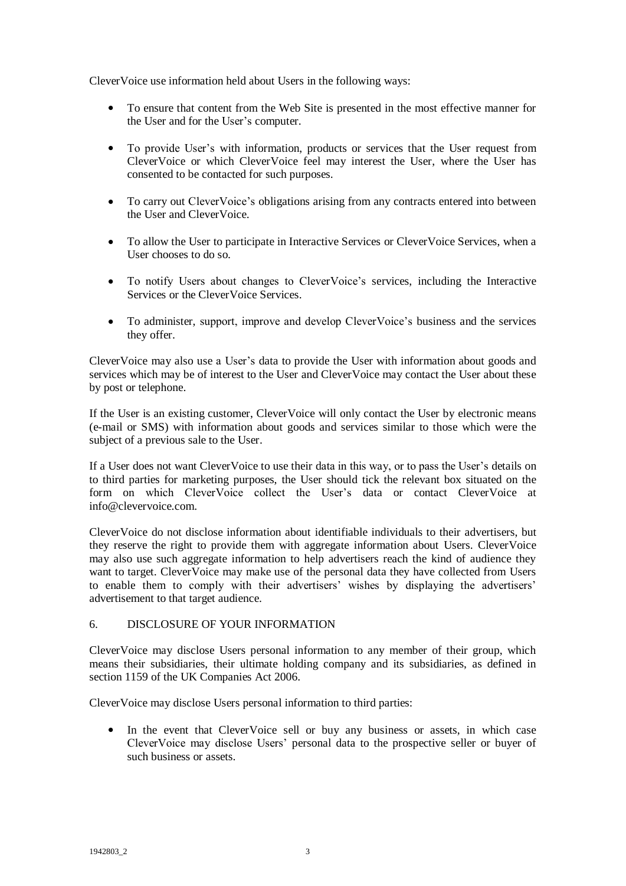CleverVoice use information held about Users in the following ways:

- $\bullet$ To ensure that content from the Web Site is presented in the most effective manner for the User and for the User"s computer.
- To provide User's with information, products or services that the User request from CleverVoice or which CleverVoice feel may interest the User, where the User has consented to be contacted for such purposes.
- To carry out CleverVoice"s obligations arising from any contracts entered into between the User and CleverVoice.
- To allow the User to participate in Interactive Services or CleverVoice Services, when a User chooses to do so.
- To notify Users about changes to CleverVoice"s services, including the Interactive  $\bullet$ Services or the CleverVoice Services.
- To administer, support, improve and develop CleverVoice"s business and the services they offer.

CleverVoice may also use a User"s data to provide the User with information about goods and services which may be of interest to the User and CleverVoice may contact the User about these by post or telephone.

If the User is an existing customer, CleverVoice will only contact the User by electronic means (e-mail or SMS) with information about goods and services similar to those which were the subject of a previous sale to the User.

If a User does not want CleverVoice to use their data in this way, or to pass the User"s details on to third parties for marketing purposes, the User should tick the relevant box situated on the form on which CleverVoice collect the User's data or contact CleverVoice at info@clevervoice.com.

CleverVoice do not disclose information about identifiable individuals to their advertisers, but they reserve the right to provide them with aggregate information about Users. CleverVoice may also use such aggregate information to help advertisers reach the kind of audience they want to target. Clever Voice may make use of the personal data they have collected from Users to enable them to comply with their advertisers' wishes by displaying the advertisers' advertisement to that target audience.

## 6. DISCLOSURE OF YOUR INFORMATION

CleverVoice may disclose Users personal information to any member of their group, which means their subsidiaries, their ultimate holding company and its subsidiaries, as defined in section 1159 of the UK Companies Act 2006.

CleverVoice may disclose Users personal information to third parties:

In the event that CleverVoice sell or buy any business or assets, in which case  $\bullet$ CleverVoice may disclose Users" personal data to the prospective seller or buyer of such business or assets.